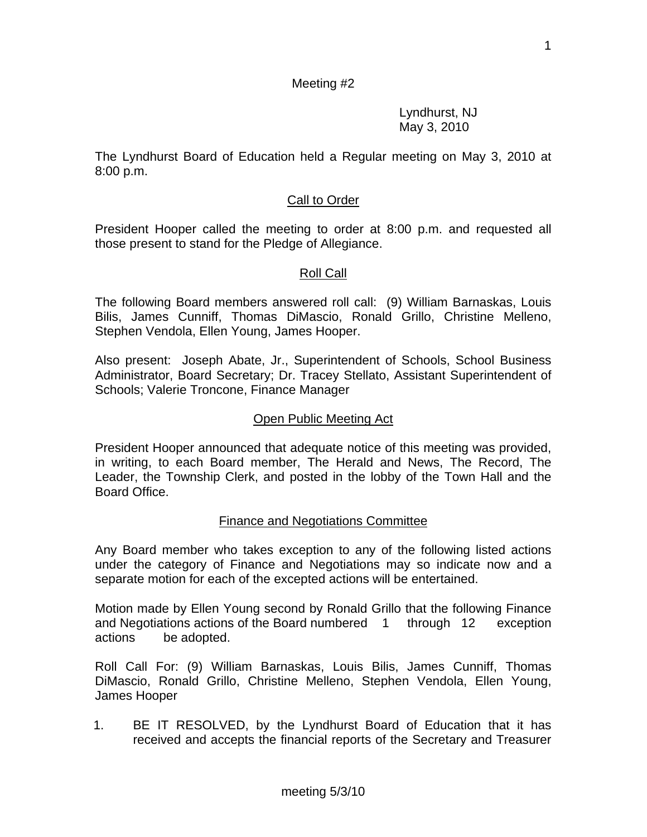#### Meeting #2

 Lyndhurst, NJ May 3, 2010

The Lyndhurst Board of Education held a Regular meeting on May 3, 2010 at 8:00 p.m.

#### Call to Order

President Hooper called the meeting to order at 8:00 p.m. and requested all those present to stand for the Pledge of Allegiance.

#### Roll Call

The following Board members answered roll call: (9) William Barnaskas, Louis Bilis, James Cunniff, Thomas DiMascio, Ronald Grillo, Christine Melleno, Stephen Vendola, Ellen Young, James Hooper.

Also present: Joseph Abate, Jr., Superintendent of Schools, School Business Administrator, Board Secretary; Dr. Tracey Stellato, Assistant Superintendent of Schools; Valerie Troncone, Finance Manager

#### Open Public Meeting Act

President Hooper announced that adequate notice of this meeting was provided, in writing, to each Board member, The Herald and News, The Record, The Leader, the Township Clerk, and posted in the lobby of the Town Hall and the Board Office.

#### Finance and Negotiations Committee

Any Board member who takes exception to any of the following listed actions under the category of Finance and Negotiations may so indicate now and a separate motion for each of the excepted actions will be entertained.

Motion made by Ellen Young second by Ronald Grillo that the following Finance and Negotiations actions of the Board numbered 1 through 12 exception actions be adopted.

Roll Call For: (9) William Barnaskas, Louis Bilis, James Cunniff, Thomas DiMascio, Ronald Grillo, Christine Melleno, Stephen Vendola, Ellen Young, James Hooper

1. BE IT RESOLVED, by the Lyndhurst Board of Education that it has received and accepts the financial reports of the Secretary and Treasurer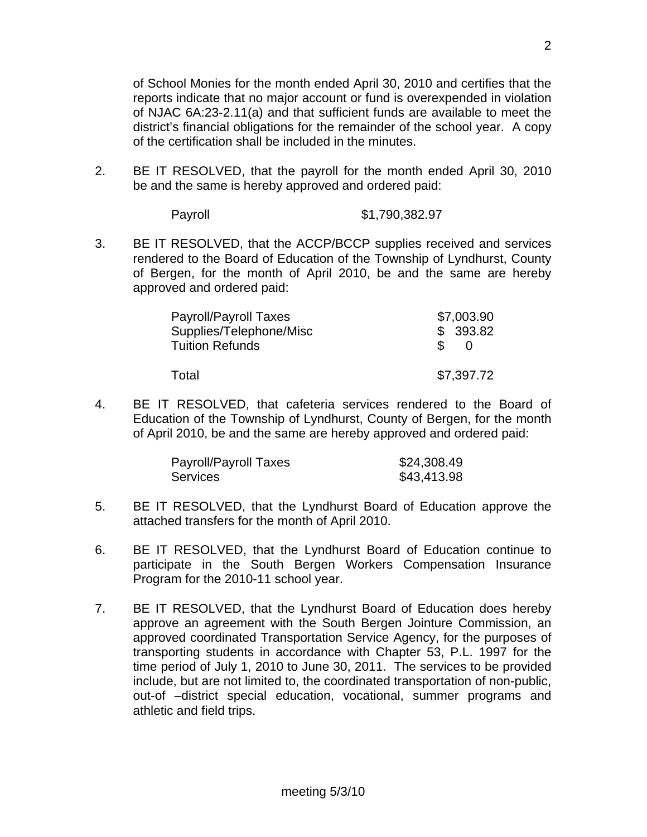of School Monies for the month ended April 30, 2010 and certifies that the reports indicate that no major account or fund is overexpended in violation of NJAC 6A:23-2.11(a) and that sufficient funds are available to meet the district's financial obligations for the remainder of the school year. A copy of the certification shall be included in the minutes.

2. BE IT RESOLVED, that the payroll for the month ended April 30, 2010 be and the same is hereby approved and ordered paid:

| \$1,790,382.97 |
|----------------|
|                |

3. BE IT RESOLVED, that the ACCP/BCCP supplies received and services rendered to the Board of Education of the Township of Lyndhurst, County of Bergen, for the month of April 2010, be and the same are hereby approved and ordered paid:

| Payroll/Payroll Taxes                             | \$7,003.90     |
|---------------------------------------------------|----------------|
| Supplies/Telephone/Misc<br><b>Tuition Refunds</b> | \$393.82<br>S. |
| Total                                             | \$7,397.72     |

4. BE IT RESOLVED, that cafeteria services rendered to the Board of Education of the Township of Lyndhurst, County of Bergen, for the month of April 2010, be and the same are hereby approved and ordered paid:

| Payroll/Payroll Taxes | \$24,308.49 |
|-----------------------|-------------|
| <b>Services</b>       | \$43,413.98 |

- 5. BE IT RESOLVED, that the Lyndhurst Board of Education approve the attached transfers for the month of April 2010.
- 6. BE IT RESOLVED, that the Lyndhurst Board of Education continue to participate in the South Bergen Workers Compensation Insurance Program for the 2010-11 school year.
- 7. BE IT RESOLVED, that the Lyndhurst Board of Education does hereby approve an agreement with the South Bergen Jointure Commission, an approved coordinated Transportation Service Agency, for the purposes of transporting students in accordance with Chapter 53, P.L. 1997 for the time period of July 1, 2010 to June 30, 2011. The services to be provided include, but are not limited to, the coordinated transportation of non-public, out-of –district special education, vocational, summer programs and athletic and field trips.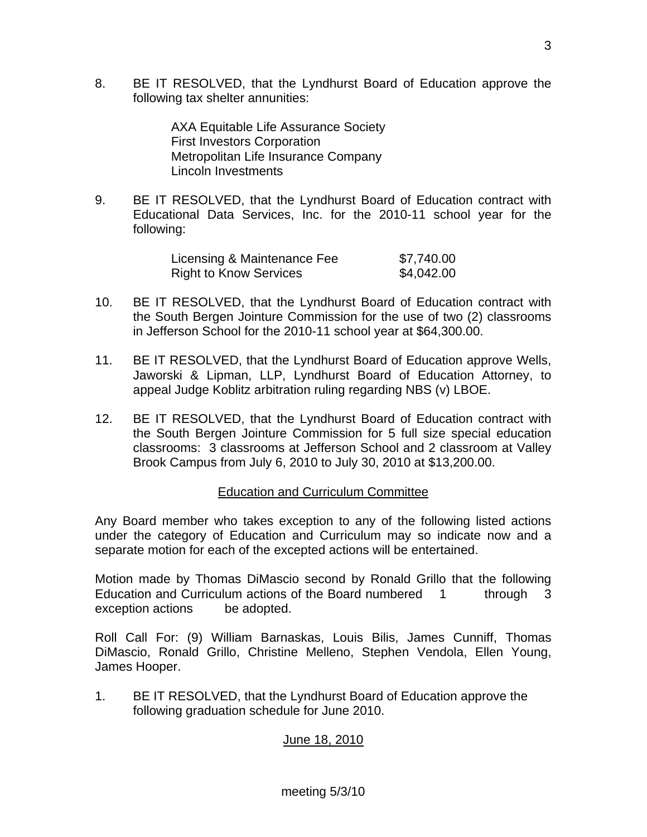8. BE IT RESOLVED, that the Lyndhurst Board of Education approve the following tax shelter annunities:

> AXA Equitable Life Assurance Society First Investors Corporation Metropolitan Life Insurance Company Lincoln Investments

9. BE IT RESOLVED, that the Lyndhurst Board of Education contract with Educational Data Services, Inc. for the 2010-11 school year for the following:

| Licensing & Maintenance Fee   | \$7,740.00 |
|-------------------------------|------------|
| <b>Right to Know Services</b> | \$4,042.00 |

- 10. BE IT RESOLVED, that the Lyndhurst Board of Education contract with the South Bergen Jointure Commission for the use of two (2) classrooms in Jefferson School for the 2010-11 school year at \$64,300.00.
- 11. BE IT RESOLVED, that the Lyndhurst Board of Education approve Wells, Jaworski & Lipman, LLP, Lyndhurst Board of Education Attorney, to appeal Judge Koblitz arbitration ruling regarding NBS (v) LBOE.
- 12. BE IT RESOLVED, that the Lyndhurst Board of Education contract with the South Bergen Jointure Commission for 5 full size special education classrooms: 3 classrooms at Jefferson School and 2 classroom at Valley Brook Campus from July 6, 2010 to July 30, 2010 at \$13,200.00.

## Education and Curriculum Committee

Any Board member who takes exception to any of the following listed actions under the category of Education and Curriculum may so indicate now and a separate motion for each of the excepted actions will be entertained.

Motion made by Thomas DiMascio second by Ronald Grillo that the following Education and Curriculum actions of the Board numbered 1 through 3 exception actions be adopted.

Roll Call For: (9) William Barnaskas, Louis Bilis, James Cunniff, Thomas DiMascio, Ronald Grillo, Christine Melleno, Stephen Vendola, Ellen Young, James Hooper.

1. BE IT RESOLVED, that the Lyndhurst Board of Education approve the following graduation schedule for June 2010.

# June 18, 2010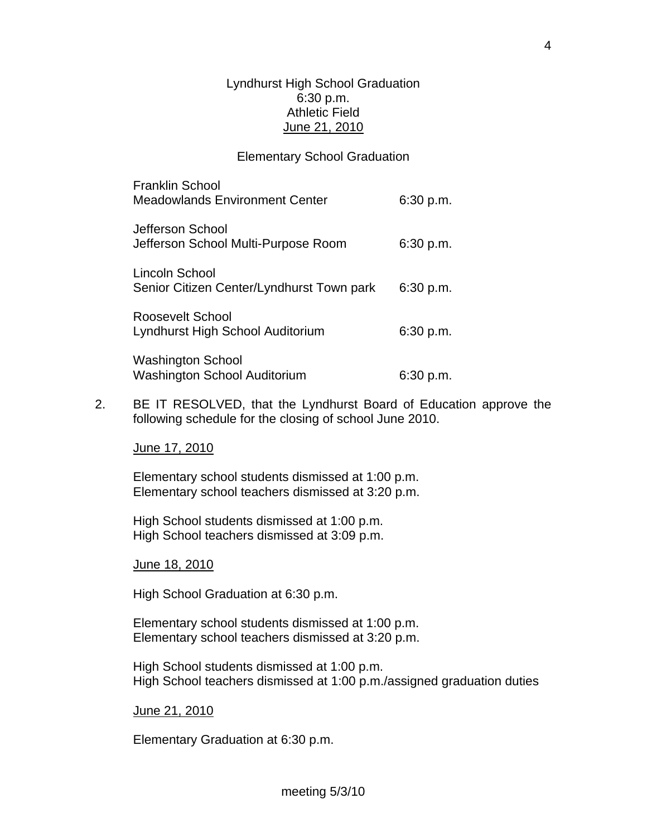#### Lyndhurst High School Graduation 6:30 p.m. Athletic Field June 21, 2010

#### Elementary School Graduation

| <b>Franklin School</b><br><b>Meadowlands Environment Center</b> | 6:30 p.m. |
|-----------------------------------------------------------------|-----------|
| Jefferson School<br>Jefferson School Multi-Purpose Room         | 6:30 p.m. |
| Lincoln School<br>Senior Citizen Center/Lyndhurst Town park     | 6:30 p.m. |
| Roosevelt School<br>Lyndhurst High School Auditorium            | 6:30 p.m. |
| <b>Washington School</b><br>Washington School Auditorium        | 6:30 p.m. |

2. BE IT RESOLVED, that the Lyndhurst Board of Education approve the following schedule for the closing of school June 2010.

June 17, 2010

 Elementary school students dismissed at 1:00 p.m. Elementary school teachers dismissed at 3:20 p.m.

 High School students dismissed at 1:00 p.m. High School teachers dismissed at 3:09 p.m.

June 18, 2010

High School Graduation at 6:30 p.m.

Elementary school students dismissed at 1:00 p.m. Elementary school teachers dismissed at 3:20 p.m.

High School students dismissed at 1:00 p.m. High School teachers dismissed at 1:00 p.m./assigned graduation duties

June 21, 2010

Elementary Graduation at 6:30 p.m.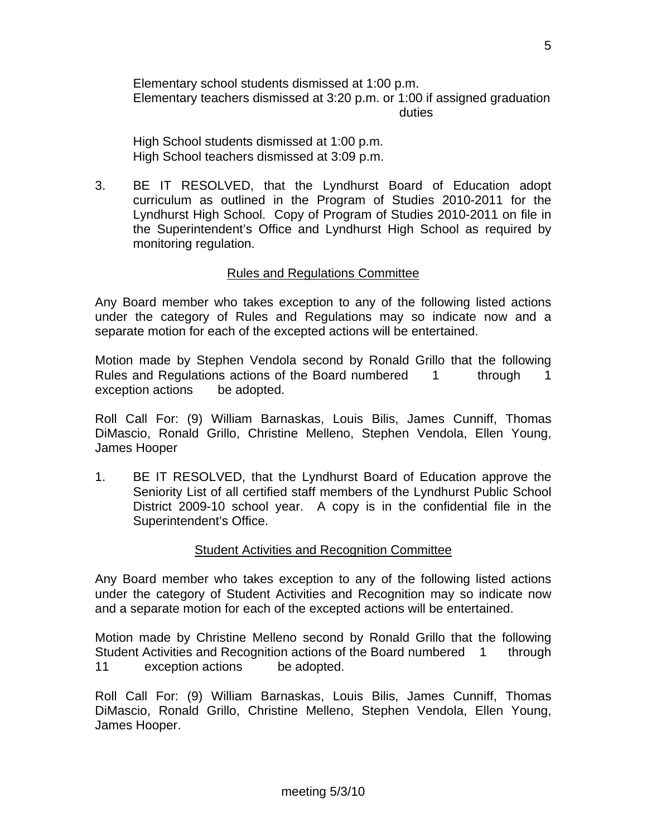Elementary school students dismissed at 1:00 p.m. Elementary teachers dismissed at 3:20 p.m. or 1:00 if assigned graduation duties and the contract of the contract of the contract of the contract of the contract of the contract of the

High School students dismissed at 1:00 p.m. High School teachers dismissed at 3:09 p.m.

3. BE IT RESOLVED, that the Lyndhurst Board of Education adopt curriculum as outlined in the Program of Studies 2010-2011 for the Lyndhurst High School. Copy of Program of Studies 2010-2011 on file in the Superintendent's Office and Lyndhurst High School as required by monitoring regulation.

## Rules and Regulations Committee

Any Board member who takes exception to any of the following listed actions under the category of Rules and Regulations may so indicate now and a separate motion for each of the excepted actions will be entertained.

Motion made by Stephen Vendola second by Ronald Grillo that the following Rules and Regulations actions of the Board numbered 1 through 1 exception actions be adopted.

Roll Call For: (9) William Barnaskas, Louis Bilis, James Cunniff, Thomas DiMascio, Ronald Grillo, Christine Melleno, Stephen Vendola, Ellen Young, James Hooper

1. BE IT RESOLVED, that the Lyndhurst Board of Education approve the Seniority List of all certified staff members of the Lyndhurst Public School District 2009-10 school year. A copy is in the confidential file in the Superintendent's Office.

## Student Activities and Recognition Committee

Any Board member who takes exception to any of the following listed actions under the category of Student Activities and Recognition may so indicate now and a separate motion for each of the excepted actions will be entertained.

Motion made by Christine Melleno second by Ronald Grillo that the following Student Activities and Recognition actions of the Board numbered 1 through 11 exception actions be adopted.

Roll Call For: (9) William Barnaskas, Louis Bilis, James Cunniff, Thomas DiMascio, Ronald Grillo, Christine Melleno, Stephen Vendola, Ellen Young, James Hooper.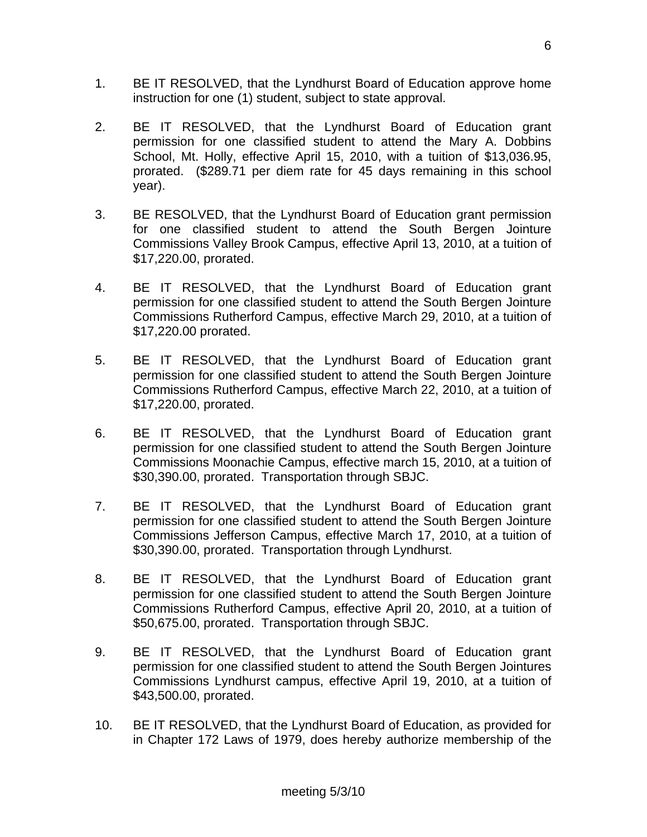- 1. BE IT RESOLVED, that the Lyndhurst Board of Education approve home instruction for one (1) student, subject to state approval.
- 2. BE IT RESOLVED, that the Lyndhurst Board of Education grant permission for one classified student to attend the Mary A. Dobbins School, Mt. Holly, effective April 15, 2010, with a tuition of \$13,036.95, prorated. (\$289.71 per diem rate for 45 days remaining in this school year).
- 3. BE RESOLVED, that the Lyndhurst Board of Education grant permission for one classified student to attend the South Bergen Jointure Commissions Valley Brook Campus, effective April 13, 2010, at a tuition of \$17,220.00, prorated.
- 4. BE IT RESOLVED, that the Lyndhurst Board of Education grant permission for one classified student to attend the South Bergen Jointure Commissions Rutherford Campus, effective March 29, 2010, at a tuition of \$17,220.00 prorated.
- 5. BE IT RESOLVED, that the Lyndhurst Board of Education grant permission for one classified student to attend the South Bergen Jointure Commissions Rutherford Campus, effective March 22, 2010, at a tuition of \$17,220.00, prorated.
- 6. BE IT RESOLVED, that the Lyndhurst Board of Education grant permission for one classified student to attend the South Bergen Jointure Commissions Moonachie Campus, effective march 15, 2010, at a tuition of \$30,390.00, prorated. Transportation through SBJC.
- 7. BE IT RESOLVED, that the Lyndhurst Board of Education grant permission for one classified student to attend the South Bergen Jointure Commissions Jefferson Campus, effective March 17, 2010, at a tuition of \$30,390.00, prorated. Transportation through Lyndhurst.
- 8. BE IT RESOLVED, that the Lyndhurst Board of Education grant permission for one classified student to attend the South Bergen Jointure Commissions Rutherford Campus, effective April 20, 2010, at a tuition of \$50,675.00, prorated. Transportation through SBJC.
- 9. BE IT RESOLVED, that the Lyndhurst Board of Education grant permission for one classified student to attend the South Bergen Jointures Commissions Lyndhurst campus, effective April 19, 2010, at a tuition of \$43,500.00, prorated.
- 10. BE IT RESOLVED, that the Lyndhurst Board of Education, as provided for in Chapter 172 Laws of 1979, does hereby authorize membership of the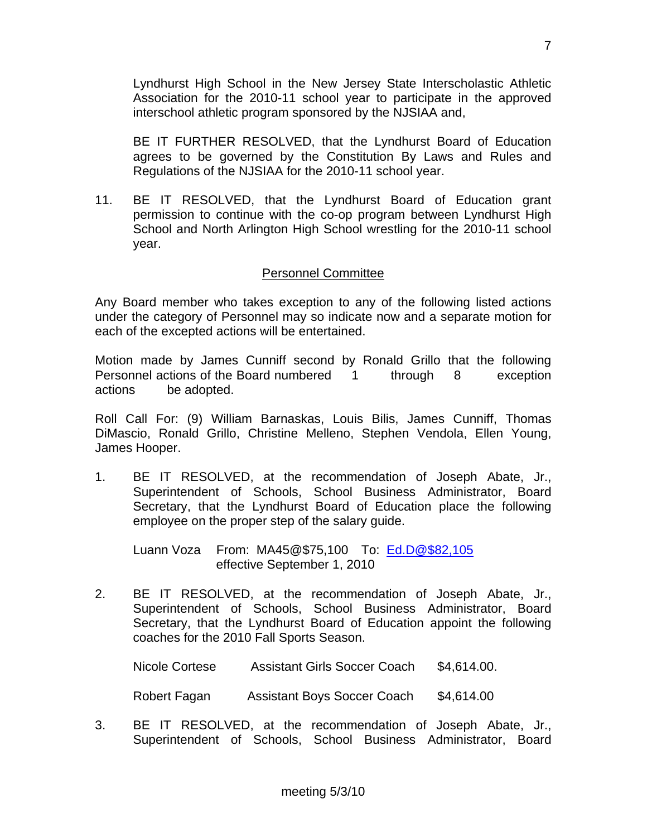Lyndhurst High School in the New Jersey State Interscholastic Athletic Association for the 2010-11 school year to participate in the approved interschool athletic program sponsored by the NJSIAA and,

 BE IT FURTHER RESOLVED, that the Lyndhurst Board of Education agrees to be governed by the Constitution By Laws and Rules and Regulations of the NJSIAA for the 2010-11 school year.

11. BE IT RESOLVED, that the Lyndhurst Board of Education grant permission to continue with the co-op program between Lyndhurst High School and North Arlington High School wrestling for the 2010-11 school year.

## Personnel Committee

Any Board member who takes exception to any of the following listed actions under the category of Personnel may so indicate now and a separate motion for each of the excepted actions will be entertained.

Motion made by James Cunniff second by Ronald Grillo that the following Personnel actions of the Board numbered 1 through 8 exception actions be adopted.

Roll Call For: (9) William Barnaskas, Louis Bilis, James Cunniff, Thomas DiMascio, Ronald Grillo, Christine Melleno, Stephen Vendola, Ellen Young, James Hooper.

1. BE IT RESOLVED, at the recommendation of Joseph Abate, Jr., Superintendent of Schools, School Business Administrator, Board Secretary, that the Lyndhurst Board of Education place the following employee on the proper step of the salary guide.

 Luann Voza From: MA45@\$75,100 To: [Ed.D@\\$82,105](mailto:Ed.D@$82,105) effective September 1, 2010

2. BE IT RESOLVED, at the recommendation of Joseph Abate, Jr., Superintendent of Schools, School Business Administrator, Board Secretary, that the Lyndhurst Board of Education appoint the following coaches for the 2010 Fall Sports Season.

Nicole Cortese Assistant Girls Soccer Coach \$4,614.00.

Robert Fagan Assistant Boys Soccer Coach \$4,614.00

3. BE IT RESOLVED, at the recommendation of Joseph Abate, Jr., Superintendent of Schools, School Business Administrator, Board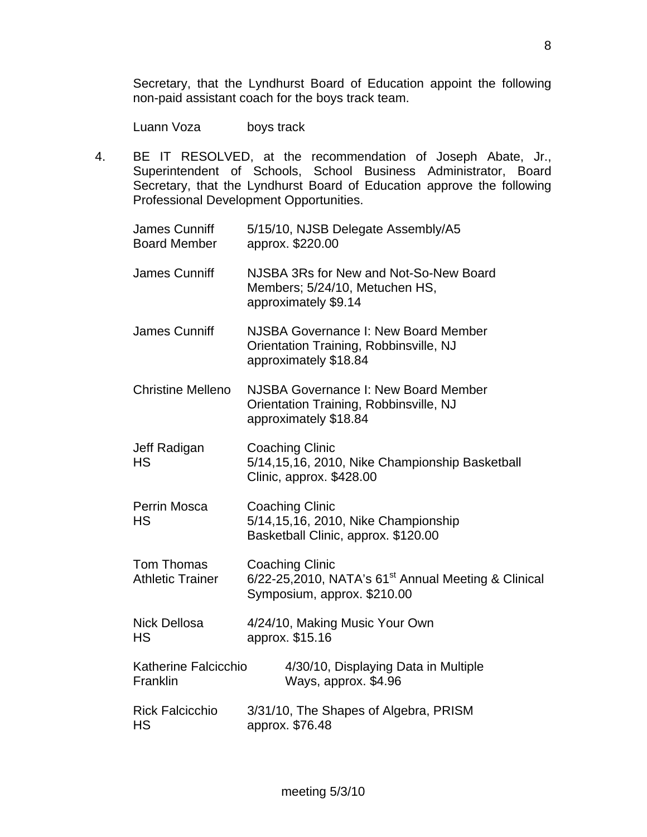Secretary, that the Lyndhurst Board of Education appoint the following non-paid assistant coach for the boys track team.

Luann Voza boys track

4. BE IT RESOLVED, at the recommendation of Joseph Abate, Jr., Superintendent of Schools, School Business Administrator, Board Secretary, that the Lyndhurst Board of Education approve the following Professional Development Opportunities.

| James Cunniff<br><b>Board Member</b>  | 5/15/10, NJSB Delegate Assembly/A5<br>approx. \$220.00                                                            |
|---------------------------------------|-------------------------------------------------------------------------------------------------------------------|
| <b>James Cunniff</b>                  | NJSBA 3Rs for New and Not-So-New Board<br>Members; 5/24/10, Metuchen HS,<br>approximately \$9.14                  |
| <b>James Cunniff</b>                  | NJSBA Governance I: New Board Member<br>Orientation Training, Robbinsville, NJ<br>approximately \$18.84           |
| <b>Christine Melleno</b>              | NJSBA Governance I: New Board Member<br>Orientation Training, Robbinsville, NJ<br>approximately \$18.84           |
| Jeff Radigan<br><b>HS</b>             | <b>Coaching Clinic</b><br>5/14,15,16, 2010, Nike Championship Basketball<br>Clinic, approx. \$428.00              |
| <b>Perrin Mosca</b><br><b>HS</b>      | <b>Coaching Clinic</b><br>5/14,15,16, 2010, Nike Championship<br>Basketball Clinic, approx. \$120.00              |
| Tom Thomas<br><b>Athletic Trainer</b> | <b>Coaching Clinic</b><br>$6/22$ -25,2010, NATA's $61st$ Annual Meeting & Clinical<br>Symposium, approx. \$210.00 |
| <b>Nick Dellosa</b><br><b>HS</b>      | 4/24/10, Making Music Your Own<br>approx. \$15.16                                                                 |
| Katherine Falcicchio<br>Franklin      | 4/30/10, Displaying Data in Multiple<br>Ways, approx. \$4.96                                                      |
| <b>Rick Falcicchio</b><br>HS          | 3/31/10, The Shapes of Algebra, PRISM<br>approx. \$76.48                                                          |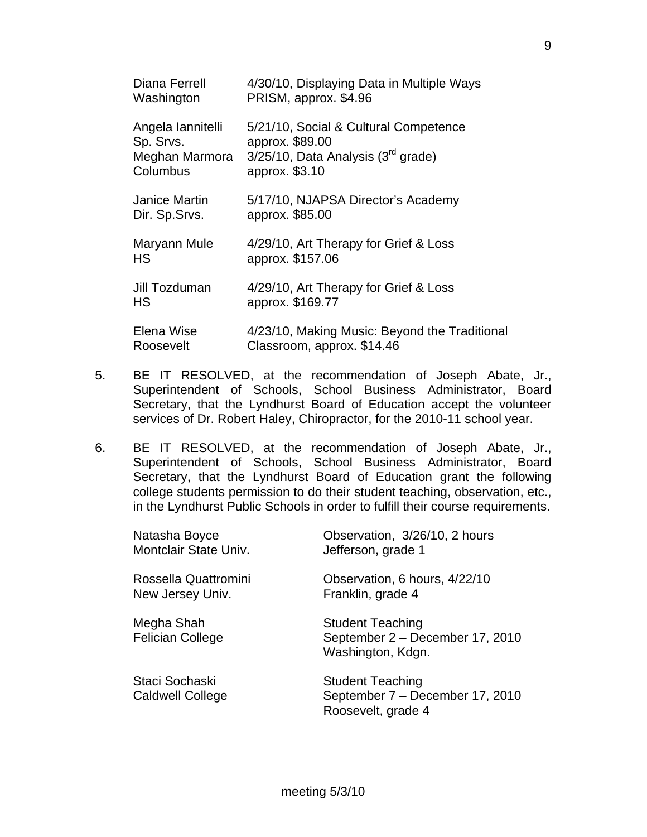| Diana Ferrell<br>Washington                                  | 4/30/10, Displaying Data in Multiple Ways<br>PRISM, approx. \$4.96                                                     |
|--------------------------------------------------------------|------------------------------------------------------------------------------------------------------------------------|
| Angela lannitelli<br>Sp. Srvs.<br>Meghan Marmora<br>Columbus | 5/21/10, Social & Cultural Competence<br>approx. \$89.00<br>$3/25/10$ , Data Analysis ( $3rd$ grade)<br>approx. \$3.10 |
| Janice Martin<br>Dir. Sp.Srvs.                               | 5/17/10, NJAPSA Director's Academy<br>approx. \$85.00                                                                  |
| Maryann Mule<br>HS                                           | 4/29/10, Art Therapy for Grief & Loss<br>approx. \$157.06                                                              |
| Jill Tozduman<br>HS                                          | 4/29/10, Art Therapy for Grief & Loss<br>approx. \$169.77                                                              |
| Elena Wise<br>Roosevelt                                      | 4/23/10, Making Music: Beyond the Traditional<br>Classroom, approx. \$14.46                                            |

- 5. BE IT RESOLVED, at the recommendation of Joseph Abate, Jr., Superintendent of Schools, School Business Administrator, Board Secretary, that the Lyndhurst Board of Education accept the volunteer services of Dr. Robert Haley, Chiropractor, for the 2010-11 school year.
- 6. BE IT RESOLVED, at the recommendation of Joseph Abate, Jr., Superintendent of Schools, School Business Administrator, Board Secretary, that the Lyndhurst Board of Education grant the following college students permission to do their student teaching, observation, etc., in the Lyndhurst Public Schools in order to fulfill their course requirements.

| Natasha Boyce                             | Observation, 3/26/10, 2 hours                                                    |
|-------------------------------------------|----------------------------------------------------------------------------------|
| Montclair State Univ.                     | Jefferson, grade 1                                                               |
| Rossella Quattromini                      | Observation, 6 hours, 4/22/10                                                    |
| New Jersey Univ.                          | Franklin, grade 4                                                                |
| Megha Shah<br><b>Felician College</b>     | <b>Student Teaching</b><br>September 2 - December 17, 2010<br>Washington, Kdgn.  |
| Staci Sochaski<br><b>Caldwell College</b> | <b>Student Teaching</b><br>September 7 – December 17, 2010<br>Roosevelt, grade 4 |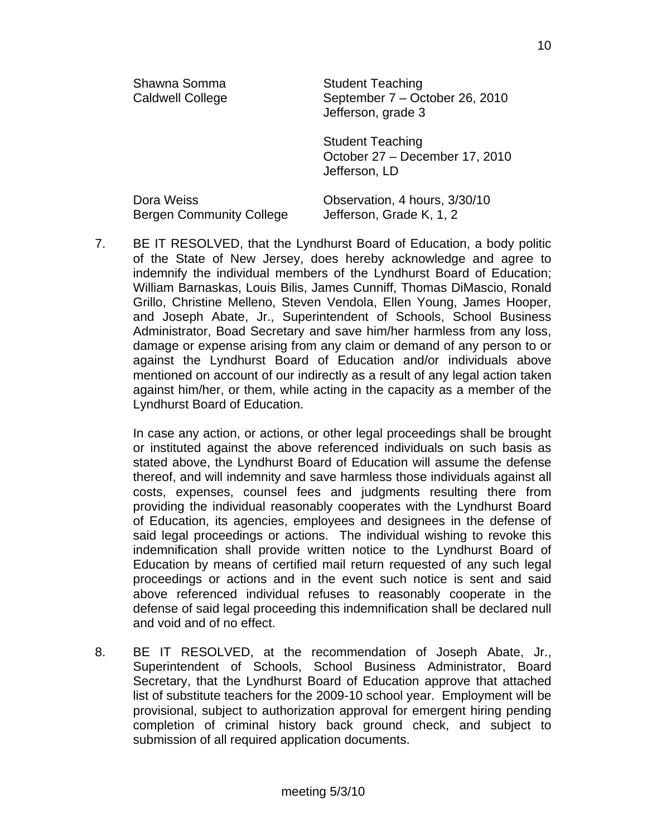| Shawna Somma<br><b>Caldwell College</b>       | <b>Student Teaching</b><br>September 7 - October 26, 2010<br>Jefferson, grade 3 |
|-----------------------------------------------|---------------------------------------------------------------------------------|
|                                               | <b>Student Teaching</b><br>October 27 - December 17, 2010<br>Jefferson, LD      |
| Dora Weiss<br><b>Bergen Community College</b> | Observation, 4 hours, 3/30/10<br>Jefferson, Grade K, 1, 2                       |

7. BE IT RESOLVED, that the Lyndhurst Board of Education, a body politic of the State of New Jersey, does hereby acknowledge and agree to indemnify the individual members of the Lyndhurst Board of Education; William Barnaskas, Louis Bilis, James Cunniff, Thomas DiMascio, Ronald Grillo, Christine Melleno, Steven Vendola, Ellen Young, James Hooper, and Joseph Abate, Jr., Superintendent of Schools, School Business Administrator, Boad Secretary and save him/her harmless from any loss, damage or expense arising from any claim or demand of any person to or against the Lyndhurst Board of Education and/or individuals above mentioned on account of our indirectly as a result of any legal action taken against him/her, or them, while acting in the capacity as a member of the Lyndhurst Board of Education.

 In case any action, or actions, or other legal proceedings shall be brought or instituted against the above referenced individuals on such basis as stated above, the Lyndhurst Board of Education will assume the defense thereof, and will indemnity and save harmless those individuals against all costs, expenses, counsel fees and judgments resulting there from providing the individual reasonably cooperates with the Lyndhurst Board of Education, its agencies, employees and designees in the defense of said legal proceedings or actions. The individual wishing to revoke this indemnification shall provide written notice to the Lyndhurst Board of Education by means of certified mail return requested of any such legal proceedings or actions and in the event such notice is sent and said above referenced individual refuses to reasonably cooperate in the defense of said legal proceeding this indemnification shall be declared null and void and of no effect.

8. BE IT RESOLVED, at the recommendation of Joseph Abate, Jr., Superintendent of Schools, School Business Administrator, Board Secretary, that the Lyndhurst Board of Education approve that attached list of substitute teachers for the 2009-10 school year. Employment will be provisional, subject to authorization approval for emergent hiring pending completion of criminal history back ground check, and subject to submission of all required application documents.